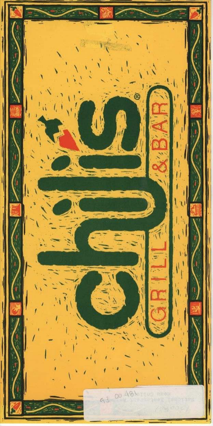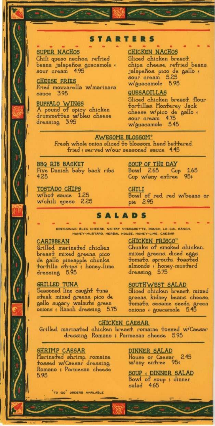# **STARTERS**

# **SUPER NACHOS**

Chili queso nachos, refried beans jalapeños guacamole (<br>sour cream 4.95

**CHEESE FRIES** Fried mozzarella w/marinara sauce 395

**BUFFALO WINGS** A pound of spicy chicken<br>drummettes w/bleu cheese dressing 3.95

**CHICKEN NACHOS** Sliced chicken breast. chips, cheese, refried beans. jalapeños, pico de gallo « sour cream 5.25 w/guacamole 5.95

## **QUESADILLAS**

Sliced chicken breast. flour tortillas, Monterey Jack cheese w/pico de gallo ( sour cream 4.75 w/guacamole 5.45

#### **AWESOME BLOSSOM®**

Fresh whole onion sliced to blossom, hand battered. fried + served w/our seasoned sauce 4.45

**BBQ RIB BASKET** Five Danish baby back ribs 4.25

**TOSTADO CHIPS** w/hot sauce 1.25 w/chili queso 2.25

#### SOUP OF THE DAY Bowl 2.65 Cup 1.65 Cup w/any enfree 95t

**CHILI** Bowl of red, red w/beans or pie 2.95

# SALADS

DRESSINGS: BLEU CHEESE, NO-FAT VINAIGRETTE, RANCH, LO-CAL RANCH, HONEY-MUSTARD, HERBAL HOUSE, HONEY-LIME, CAESAR

#### **CARIBBEAN**

Grilled, marinated chicken breast, mixed greens, pico de gallo pineapple chunks. tortilla strips ; honey-lime dressing 5.95

#### **GRILLED TUNA**

Seasoned line caught tuna steak mixed greens pico de gallo sugary walnuts green<br>onions (Ranch dressing 5.75

#### **CHICKEN FRISCO<sup>™</sup>**

Chunks of smoked chicken. mixed greens, diced eggs, tomato sprouts, toasted almonds + honey-mustard<br>dressing 5.75

#### SOUTHWEST SALAD

Sliced chicken breast. mixed greens. kidney beans. cheese. fomato sesame seeds green 5.45 onions + guacamole

**CHICKEN CAESAR** Grilled, marinated chicken breast, romaine tossed w/Caesar dressing. Romano : Parmesan cheese 5.95

**SHRIMP CAESAR** Marinated shrimp, romaine fossed w/Caesar dressing Romano + Parmesan cheese 5.95

DINNER SALAD House or Caesar<br>w/any entree 9  $2.45$ 95

SOUP | DINNER SALAD Bowl of soup + dinner salad 4.65

TO GO ORDERS AVAILABLE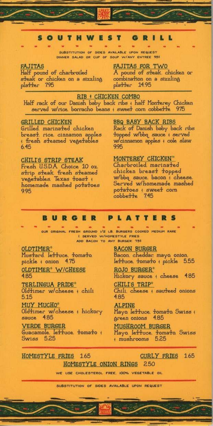#### W E U S T RILL G

SUBSTITUTION OF SIDES AVAILABLE UPON REQUEST DINNER SALAD OR CUP OF SOUP W/ANY ENTREE 954

#### **FAJITAS**

Half pound of charbroiled steak or chicken on a sizzling<br>platter 795 **FAJITAS FOR TWO** A pound of steak, chicken or combination on a sizzling 14.95 platter

RIB + CHICKEN COMBO

Half rack of our Danish baby back ribs ; half Monterey Chicken served w/rice. borracho beans ; sweet com cobbette 975

#### GRILLED CHICKEN

Grilled, marinated chicken breast. rice, cinnamon apples fresh steamed vegetables 6.45

# **CHILI'S STRIP STEAK**

Fresh U.S.D.A. Choice 10 oz. strip steak. fresh steamed<br>vegetables. Texas toast homemade mashed potatoes 9.95

#### **BBQ BABY BACK RIBS**

Rack of Danish baby back ribs topped w/bbq sauce & served w/cinnamon apples + cole slaw 995

#### MONTEREY CHICKEN<sup>®</sup>

Charbroiled marinated chicken breast topped w/bbq sauce, bacon ( cheese. Served w/homemade mashed potatoes (sweet com<br>cobbette 745 cobberre

#### n RGER PLATTE R

OUR ORIGINAL FRESH GROUND 1/2 LB. BURGERS COOKED MEDIUM RARE SERVED W/HOMESTYLE FRIES

## OLDTIMER<sup>®</sup>

Mustard, lettuce, tomato, pickle # onion 4.75

OLDTIMER<sup>®</sup> W/CHEESE 485

**TERLINGUA PRIDE®** Oldtimer w/cheese + chili 5.15

MUY MUCHO® Oldtimer w/cheese ( hickory 4.85 sauce

**VERDE BURGER** Guacamole, lettuce, tomato ;<br>Swiss 5.25 **BACON BURGER** Bacon, cheddar, mayo, onion, let tuce, tomato + pickle 5.55

**ROJO BURGER®** Hickory sauce ( cheese 4.85

**CHILI'S TRIP®** Chili. cheese | saurreed onions 4.85

**ALPINE** Mayo Ieffuce, fomato Swiss ( 4.85 green onions

MUSHROOM BURGER Mayo leffuce. fomato. Swiss  $imushrooms$  5.25

#### 1.65 HOMESTYLE FRIES

1.65 **CURLY FRIES** 

HOMESTYLE ONION RINGS 250

WE USE CHOLESTEROL FREE, IOO% VEGETABLE OIL

SUBSTITUTION OF SIDES AVAILABLE UPON REQUEST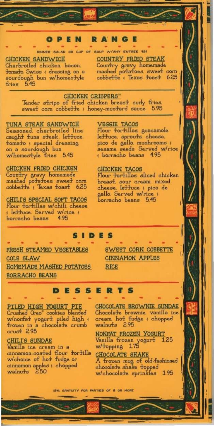# **OPEN RANGE**

DINNER SALAD OR CUP OF SOUP W/ANY ENTREE 954 **CHICKEN SANDWICH** Charbrotled chicken, bacon, fomato Swiss (dressing on a sourdough bun w/homestyle fries 5.45

**COUNTRY FRIED STEAK** Country gravy. homemade<br>mashed potatoes. sweet com cobberrie (Texas foast 625

# **CHICKEN CRISPERS"**

Tender strips of fried chicken breast, curly fries, sweet corn cobbette ( honey-mustard sauce 5.95

TUNA STEAK SANDWICH Seasoned, charbroiled line caught tuna steak. lettuce. fomato ( special dressing on a sourdough bun w/homestyle fries 5.45

**CHICKEN FRIED CHICKEN** Country gravy homemade<br>mashed potatoes sweet com<br>cobbette + Texas toast 6.25

CHILIS SPECIAL SOFT TACOS Flour forfillas w/chili cheese Elettuce. Served w/rice +<br>borracho beans 4.95

#### **VEGGIE TACOS**

Flour tortillas, guacamole. lettuce, sprouts, cheese, pico de gallo mushrooms sesame seeds. Served w/rice borracho beans 4.95

#### **CHICKEN TACOS**

Flour forfillas, sliced chicken breast sour cream mixed cheese. lettuce ( pico de gallo. Served w/rice borracho beans 5.45

# IDES

**FRESH STEAMED VEGETABLES** COLE SLAW HOMEMADE MASHED POTATOES **BORRACHO BEANS** 

**SWEET CORN COBBETTE CINNAMON APPLES RICE** 

## **SSERTS**

PILED HIGH YOGURT PIE Crushed Oreo<sup>®</sup> cookies blended w/nomfat yogurt piled high<br>frozen in a chocolate crumb<br>crust 2.95

#### **CHILIS SUNDAE**

Vanilla ice cream in a cinnamon-coafed flour forfilla w/choice of hot fudge or cinnamon apples (chopped<br>walnuts 250

**CHOCOLATE BROWNIE SUNDAE** Chocolate brownie, vanilla ice cream. hot fudge + chopped 2.95 walnuts

NONFAT FROZEN YOGURT<br>Vanilla frozen yogurt 125 w/topping 1.75

**CHOCOLATE SHAKE** 

A frozen mug of old-fashioned chocolate shake topped w/chocolate sprinkles 1.95

IS% GRATLITY FOR PARTIES OF & OR MORE